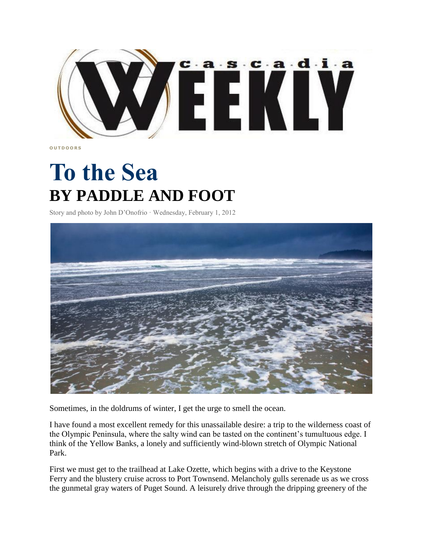

**O U T D O O R S**

## **To the Sea BY PADDLE AND FOOT**

Story and photo by John D'Onofrio · Wednesday, February 1, 2012



Sometimes, in the doldrums of winter, I get the urge to smell the ocean.

I have found a most excellent remedy for this unassailable desire: a trip to the wilderness coast of the Olympic Peninsula, where the salty wind can be tasted on the continent's tumultuous edge. I think of the Yellow Banks, a lonely and sufficiently wind-blown stretch of Olympic National Park.

First we must get to the trailhead at Lake Ozette, which begins with a drive to the Keystone Ferry and the blustery cruise across to Port Townsend. Melancholy gulls serenade us as we cross the gunmetal gray waters of Puget Sound. A leisurely drive through the dripping greenery of the